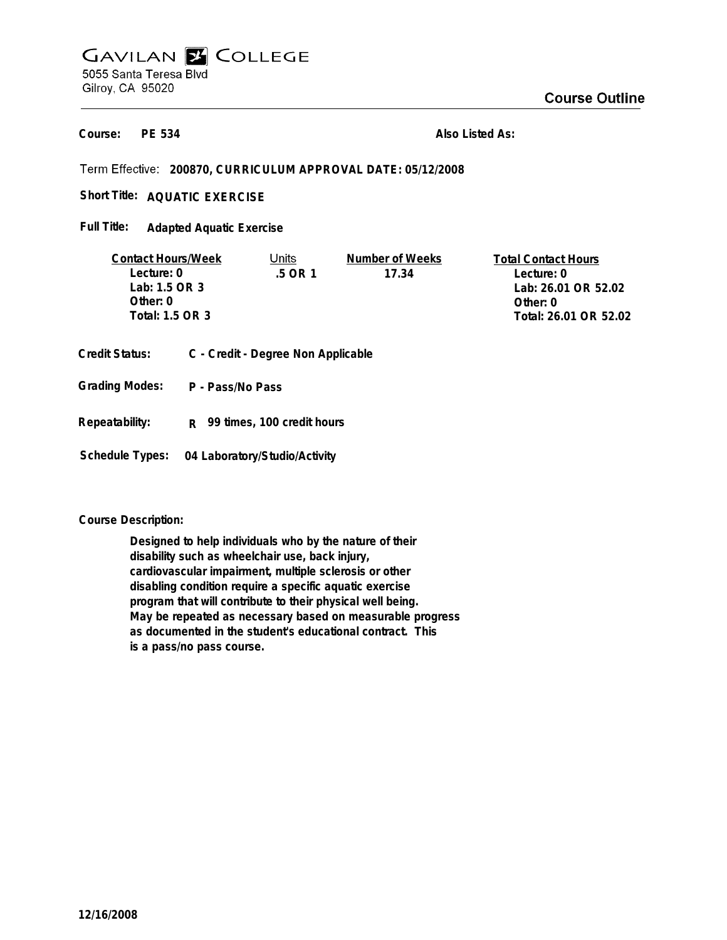# **GAVILAN E COLLEGE** 5055 Santa Teresa Blvd Gilroy, CA 95020

**PE 534 Course:**

**Also Listed As:**

**200870, CURRICULUM APPROVAL DATE: 05/12/2008**

Short Title: AQUATIC EXERCISE

**Adapted Aquatic Exercise Full Title:**

| <b>Contact Hours/Week</b> | Units  | Number of Weeks | <b>Total Contact Hours</b> |
|---------------------------|--------|-----------------|----------------------------|
| Lecture: 0                | 5 OR 1 | 17.34           | Lecture: 0                 |
| Lab: $1.5$ OR $3$         |        |                 | Lab: 26.01 OR 52.02        |
| Other: $0$                |        |                 | Other: 0                   |
| Total: 1.5 OR 3           |        |                 | Total: 26.01 OR 52.02      |
|                           |        |                 |                            |

- **Credit Status: C Credit Degree Non Applicable**
- **P Pass/No Pass Grading Modes:**
- **Repeatability: R 99 times, 100 credit hours**

**Schedule Types: 04 Laboratory/Studio/Activity**

**Course Description:**

**Designed to help individuals who by the nature of their disability such as wheelchair use, back injury, cardiovascular impairment, multiple sclerosis or other disabling condition require a specific aquatic exercise program that will contribute to their physical well being. May be repeated as necessary based on measurable progress as documented in the student's educational contract. This is a pass/no pass course.**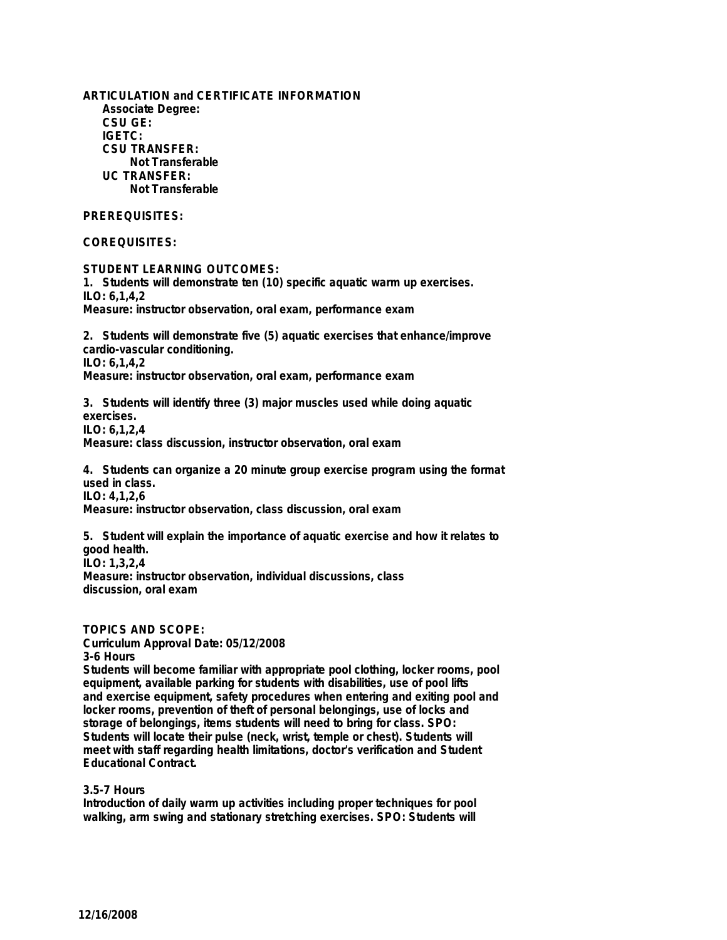**ARTICULATION and CERTIFICATE INFORMATION Associate Degree: CSU GE: IGETC: CSU TRANSFER: Not Transferable UC TRANSFER: Not Transferable**

# **PREREQUISITES:**

# **COREQUISITES:**

**STUDENT LEARNING OUTCOMES:**

**1. Students will demonstrate ten (10) specific aquatic warm up exercises. ILO: 6,1,4,2 Measure: instructor observation, oral exam, performance exam**

**2. Students will demonstrate five (5) aquatic exercises that enhance/improve cardio-vascular conditioning. ILO: 6,1,4,2 Measure: instructor observation, oral exam, performance exam**

**3. Students will identify three (3) major muscles used while doing aquatic exercises. ILO: 6,1,2,4 Measure: class discussion, instructor observation, oral exam**

**4. Students can organize a 20 minute group exercise program using the format used in class. ILO: 4,1,2,6 Measure: instructor observation, class discussion, oral exam**

**5. Student will explain the importance of aquatic exercise and how it relates to good health. ILO: 1,3,2,4 Measure: instructor observation, individual discussions, class discussion, oral exam**

**TOPICS AND SCOPE:**

**Curriculum Approval Date: 05/12/2008 3-6 Hours**

**Students will become familiar with appropriate pool clothing, locker rooms, pool equipment, available parking for students with disabilities, use of pool lifts and exercise equipment, safety procedures when entering and exiting pool and locker rooms, prevention of theft of personal belongings, use of locks and storage of belongings, items students will need to bring for class. SPO: Students will locate their pulse (neck, wrist, temple or chest). Students will meet with staff regarding health limitations, doctor's verification and Student Educational Contract.**

### **3.5-7 Hours**

**Introduction of daily warm up activities including proper techniques for pool walking, arm swing and stationary stretching exercises. SPO: Students will**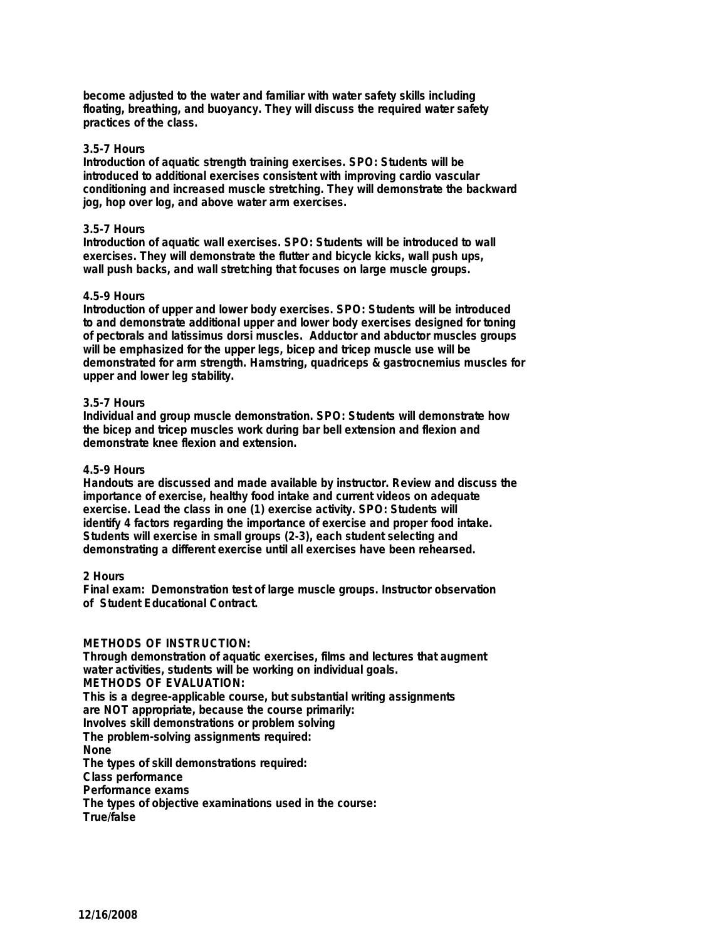**become adjusted to the water and familiar with water safety skills including floating, breathing, and buoyancy. They will discuss the required water safety practices of the class.**

## **3.5-7 Hours**

**Introduction of aquatic strength training exercises. SPO: Students will be introduced to additional exercises consistent with improving cardio vascular conditioning and increased muscle stretching. They will demonstrate the backward jog, hop over log, and above water arm exercises.**

## **3.5-7 Hours**

**Introduction of aquatic wall exercises. SPO: Students will be introduced to wall exercises. They will demonstrate the flutter and bicycle kicks, wall push ups, wall push backs, and wall stretching that focuses on large muscle groups.**

## **4.5-9 Hours**

**Introduction of upper and lower body exercises. SPO: Students will be introduced to and demonstrate additional upper and lower body exercises designed for toning of pectorals and latissimus dorsi muscles. Adductor and abductor muscles groups will be emphasized for the upper legs, bicep and tricep muscle use will be demonstrated for arm strength. Hamstring, quadriceps & gastrocnemius muscles for upper and lower leg stability.**

#### **3.5-7 Hours**

**Individual and group muscle demonstration. SPO: Students will demonstrate how the bicep and tricep muscles work during bar bell extension and flexion and demonstrate knee flexion and extension.**

# **4.5-9 Hours**

**Handouts are discussed and made available by instructor. Review and discuss the importance of exercise, healthy food intake and current videos on adequate exercise. Lead the class in one (1) exercise activity. SPO: Students will identify 4 factors regarding the importance of exercise and proper food intake. Students will exercise in small groups (2-3), each student selecting and demonstrating a different exercise until all exercises have been rehearsed.**

#### **2 Hours**

**Final exam: Demonstration test of large muscle groups. Instructor observation of Student Educational Contract.**

# **METHODS OF INSTRUCTION:**

**Through demonstration of aquatic exercises, films and lectures that augment water activities, students will be working on individual goals. METHODS OF EVALUATION: This is a degree-applicable course, but substantial writing assignments are NOT appropriate, because the course primarily: Involves skill demonstrations or problem solving The problem-solving assignments required: None The types of skill demonstrations required: Class performance Performance exams The types of objective examinations used in the course: True/false**